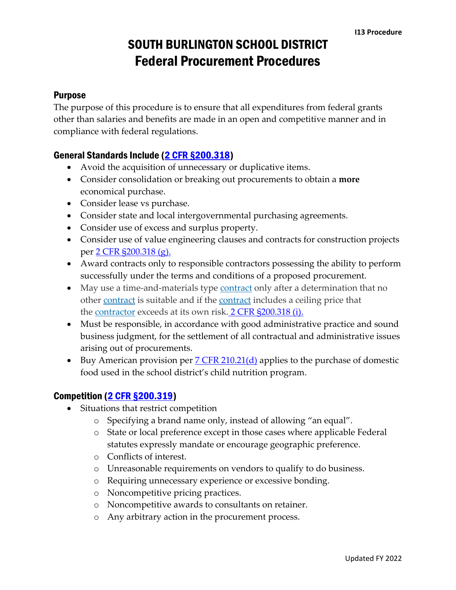### Purpose

The purpose of this procedure is to ensure that all expenditures from federal grants other than salaries and benefits are made in an open and competitive manner and in compliance with federal regulations.

#### General Standards Include [\(2 CFR §200.318\)](https://www.law.cornell.edu/cfr/text/2/200.318)

- Avoid the acquisition of unnecessary or duplicative items.
- Consider consolidation or breaking out procurements to obtain a **more** economical purchase.
- Consider lease vs purchase.
- Consider state and local intergovernmental purchasing agreements.
- Consider use of excess and surplus property.
- Consider use of value engineering clauses and contracts for construction projects per [2 CFR §200.318 \(g\).](https://www.law.cornell.edu/cfr/text/2/200.318)
- Award contracts only to responsible contractors possessing the ability to perform successfully under the terms and conditions of a proposed procurement.
- May use a time-and-materials type [contract](https://www.law.cornell.edu/definitions/index.php?width=840&height=800&iframe=true&def_id=646059bc8aa88050a7cb06464725dfbb&term_occur=999&term_src=Title:2:Subtitle:A:Chapter:II:Part:200:Subpart:D:Subjgrp:28:200.318) only after a determination that no other [contract](https://www.law.cornell.edu/definitions/index.php?width=840&height=800&iframe=true&def_id=646059bc8aa88050a7cb06464725dfbb&term_occur=999&term_src=Title:2:Subtitle:A:Chapter:II:Part:200:Subpart:D:Subjgrp:28:200.318) is suitable and if the contract includes a ceiling price that the [contractor](https://www.law.cornell.edu/definitions/index.php?width=840&height=800&iframe=true&def_id=8cb0d5b7b8f071bdd6dd7b70c5f08e91&term_occur=999&term_src=Title:2:Subtitle:A:Chapter:II:Part:200:Subpart:D:Subjgrp:28:200.318) exceeds at its own risk. [2 CFR §200.318 \(i\).](https://www.law.cornell.edu/cfr/text/2/200.318)
- Must be responsible, in accordance with good administrative practice and sound business judgment, for the settlement of all contractual and administrative issues arising out of procurements.
- Buy American provision per  $7 \text{ CFR} 210.21 \text{ (d)}$  applies to the purchase of domestic food used in the school district's child nutrition program.

#### Competition [\(2 CFR §200.319\)](https://www.law.cornell.edu/cfr/text/2/200.319)

- Situations that restrict competition
	- o Specifying a brand name only, instead of allowing "an equal".
	- o State or local preference except in those cases where applicable Federal statutes expressly mandate or encourage geographic preference.
	- o Conflicts of interest.
	- o Unreasonable requirements on vendors to qualify to do business.
	- o Requiring unnecessary experience or excessive bonding.
	- o Noncompetitive pricing practices.
	- o Noncompetitive awards to consultants on retainer.
	- o Any arbitrary action in the procurement process.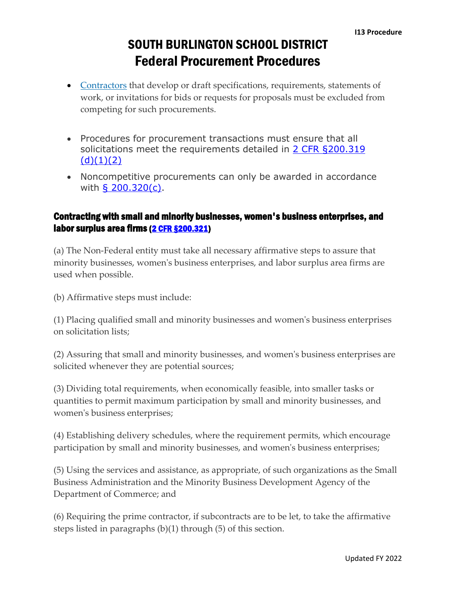- [Contractors](https://www.law.cornell.edu/definitions/index.php?width=840&height=800&iframe=true&def_id=8cb0d5b7b8f071bdd6dd7b70c5f08e91&term_occur=999&term_src=Title:2:Subtitle:A:Chapter:II:Part:200:Subpart:D:Subjgrp:28:200.319) that develop or draft specifications, requirements, statements of work, or invitations for bids or requests for proposals must be excluded from competing for such procurements.
- Procedures for procurement transactions must ensure that all solicitations meet the requirements detailed in 2 CFR §200.319  $(d)(1)(2)$
- Noncompetitive procurements can only be awarded in accordance with [§ 200.320\(c\).](https://www.law.cornell.edu/cfr/text/2/200.320#c)

### Contracting with small and minority businesses, women's business enterprises, and labor surplus area firms [\(2 CFR §200.321\)](https://www.law.cornell.edu/cfr/text/2/200.321)

(a) The Non-Federal entity must take all necessary affirmative steps to assure that minority businesses, women's business enterprises, and labor surplus area firms are used when possible.

(b) Affirmative steps must include:

(1) Placing qualified small and minority businesses and women's business enterprises on solicitation lists;

(2) Assuring that small and minority businesses, and women's business enterprises are solicited whenever they are potential sources;

(3) Dividing total requirements, when economically feasible, into smaller tasks or quantities to permit maximum participation by small and minority businesses, and women's business enterprises;

(4) Establishing delivery schedules, where the requirement permits, which encourage participation by small and minority businesses, and women's business enterprises;

(5) Using the services and assistance, as appropriate, of such organizations as the Small Business Administration and the Minority Business Development Agency of the Department of Commerce; and

(6) Requiring the prime contractor, if subcontracts are to be let, to take the affirmative steps listed in paragraphs (b)(1) through (5) of this section.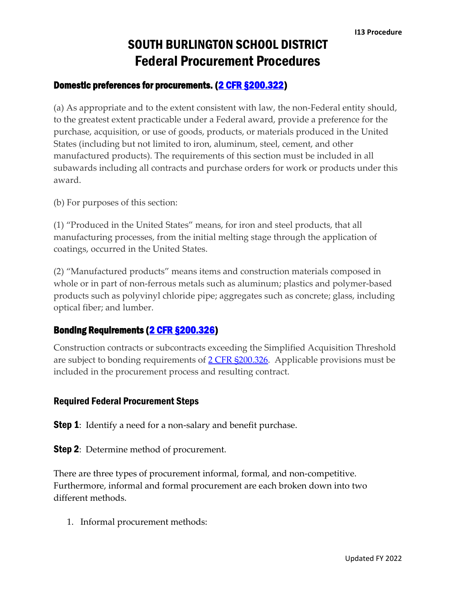### Domestic preferences for procurements. [\(2 CFR §200.322\)](https://www.law.cornell.edu/cfr/text/2/200.322)

(a) As appropriate and to the extent consistent with law, the non-Federal entity should, to the greatest extent practicable under a Federal award, provide a preference for the purchase, acquisition, or use of goods, products, or materials produced in the United States (including but not limited to iron, aluminum, steel, cement, and other manufactured products). The requirements of this section must be included in all subawards including all contracts and purchase orders for work or products under this award.

(b) For purposes of this section:

(1) "Produced in the United States" means, for iron and steel products, that all manufacturing processes, from the initial melting stage through the application of coatings, occurred in the United States.

(2) "Manufactured products" means items and construction materials composed in whole or in part of non-ferrous metals such as aluminum; plastics and polymer-based products such as polyvinyl chloride pipe; aggregates such as concrete; glass, including optical fiber; and lumber.

#### Bonding Requirements [\(2 CFR §200.326\)](https://www.law.cornell.edu/cfr/text/2/200.326)

Construction contracts or subcontracts exceeding the Simplified Acquisition Threshold are subject to bonding requirements of  $2$  CFR §200.326. Applicable provisions must be included in the procurement process and resulting contract.

#### Required Federal Procurement Steps

**Step 1**: Identify a need for a non-salary and benefit purchase.

**Step 2**: Determine method of procurement.

There are three types of procurement informal, formal, and non-competitive. Furthermore, informal and formal procurement are each broken down into two different methods.

1. Informal procurement methods: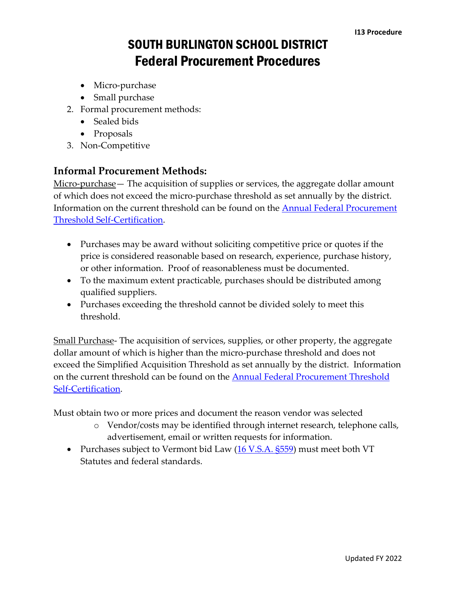- Micro-purchase
- Small purchase
- 2. Formal procurement methods:
	- Sealed bids
	- Proposals
- 3. Non-Competitive

### **Informal Procurement Methods:**

Micro-purchase— The acquisition of supplies or services, the aggregate dollar amount of which does not exceed the micro-purchase threshold as set annually by the district. Information on the current threshold can be found on the [Annual Federal Procurement](https://www.sbschools.net/cms/lib/VT01819219/Centricity/Domain/42/Annual%20Threshold%20Determinations%20FY22%20SB.pdf)  [Threshold Self-Certification.](https://www.sbschools.net/cms/lib/VT01819219/Centricity/Domain/42/Annual%20Threshold%20Determinations%20FY22%20SB.pdf)

- Purchases may be award without soliciting competitive price or quotes if the price is considered reasonable based on research, experience, purchase history, or other information. Proof of reasonableness must be documented.
- To the maximum extent practicable, purchases should be distributed among qualified suppliers.
- Purchases exceeding the threshold cannot be divided solely to meet this threshold.

Small Purchase- The acquisition of services, supplies, or other property, the aggregate dollar amount of which is higher than the micro-purchase threshold and does not exceed the Simplified Acquisition Threshold as set annually by the district. Information on the current threshold can be found on the [Annual Federal Procurement Threshold](https://www.sbschools.net/cms/lib/VT01819219/Centricity/Domain/42/Annual%20Threshold%20Determinations%20FY22%20SB.pdf)  [Self-Certification.](https://www.sbschools.net/cms/lib/VT01819219/Centricity/Domain/42/Annual%20Threshold%20Determinations%20FY22%20SB.pdf)

Must obtain two or more prices and document the reason vendor was selected

- o Vendor/costs may be identified through internet research, telephone calls, advertisement, email or written requests for information.
- Purchases subject to Vermont bid Law  $(16 \text{ V.S.A.} \text{ } 5559)$  must meet both VT Statutes and federal standards.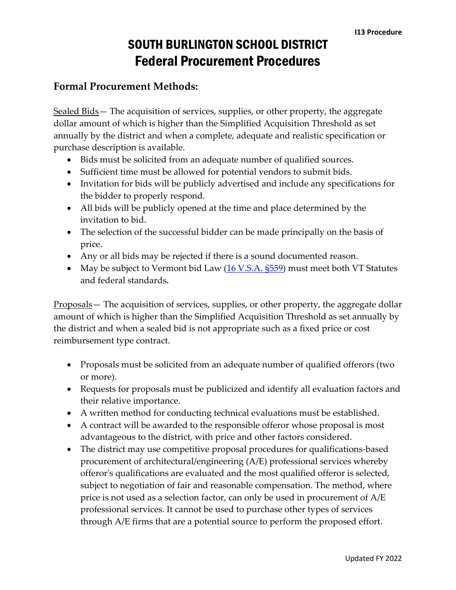### **Formal Procurement Methods:**

Sealed Bids – The acquisition of services, supplies, or other property, the aggregate dollar amount of which is higher than the Simplified Acquisition Threshold as set annually by the district and when a complete, adequate and realistic specification or purchase description is available.

- Bids must be solicited from an adequate number of qualified sources.
- Sufficient time must be allowed for potential vendors to submit bids.
- Invitation for bids will be publicly advertised and include any specifications for the bidder to properly respond.
- All bids will be publicly opened at the time and place determined by the invitation to bid.
- The selection of the successful bidder can be made principally on the basis of price.
- Any or all bids may be rejected if there is a sound documented reason.
- May be subject to Vermont bid Law  $(16 \text{ V.S.A.} \text{ $559})$  must meet both VT Statutes and federal standards.

Proposals— The acquisition of services, supplies, or other property, the aggregate dollar amount of which is higher than the Simplified Acquisition Threshold as set annually by the district and when a sealed bid is not appropriate such as a fixed price or cost reimbursement type contract.

- Proposals must be solicited from an adequate number of qualified offerors (two or more).
- Requests for proposals must be publicized and identify all evaluation factors and their relative importance.
- A written method for conducting technical evaluations must be established.
- A contract will be awarded to the responsible offeror whose proposal is most advantageous to the district, with price and other factors considered.
- The district may use competitive proposal procedures for qualifications-based procurement of architectural/engineering (A/E) professional services whereby offeror's qualifications are evaluated and the most qualified offeror is selected, subject to negotiation of fair and reasonable compensation. The method, where price is not used as a selection factor, can only be used in procurement of A/E professional services. It cannot be used to purchase other types of services through A/E firms that are a potential source to perform the proposed effort.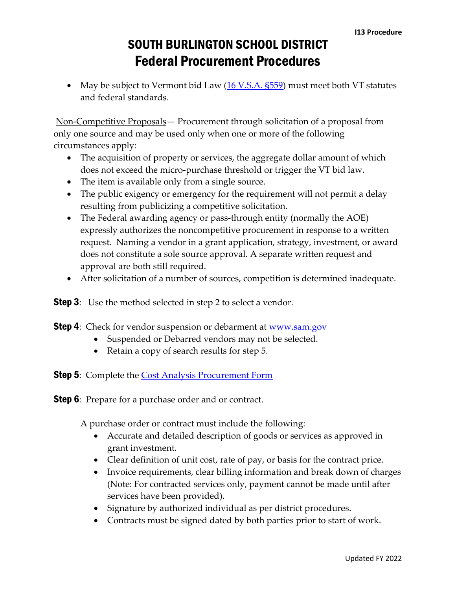• May be subject to Vermont bid Law  $(16 \text{ V.S.A.} \text{ } $559)$  must meet both VT statutes and federal standards.

Non-Competitive Proposals— Procurement through solicitation of a proposal from only one source and may be used only when one or more of the following circumstances apply:

- The acquisition of property or services, the aggregate dollar amount of which does not exceed the micro-purchase threshold or trigger the VT bid law.
- The item is available only from a single source.
- The public exigency or emergency for the requirement will not permit a delay resulting from publicizing a competitive solicitation.
- The Federal awarding agency or pass-through entity (normally the AOE) expressly authorizes the noncompetitive procurement in response to a written request. Naming a vendor in a grant application, strategy, investment, or award does not constitute a sole source approval. A separate written request and approval are both still required.
- After solicitation of a number of sources, competition is determined inadequate.

**Step 3**: Use the method selected in step 2 to select a vendor.

- **Step 4**: Check for vendor suspension or debarment at <u>www.sam.gov</u>
	- Suspended or Debarred vendors may not be selected.
	- Retain a copy of search results for step 5.
- **Step 5**: Complete the **Cost Analysis Procurement Form**
- **Step 6**: Prepare for a purchase order and or contract.

A purchase order or contract must include the following:

- Accurate and detailed description of goods or services as approved in grant investment.
- Clear definition of unit cost, rate of pay, or basis for the contract price.
- Invoice requirements, clear billing information and break down of charges (Note: For contracted services only, payment cannot be made until after services have been provided).
- Signature by authorized individual as per district procedures.
- Contracts must be signed dated by both parties prior to start of work.